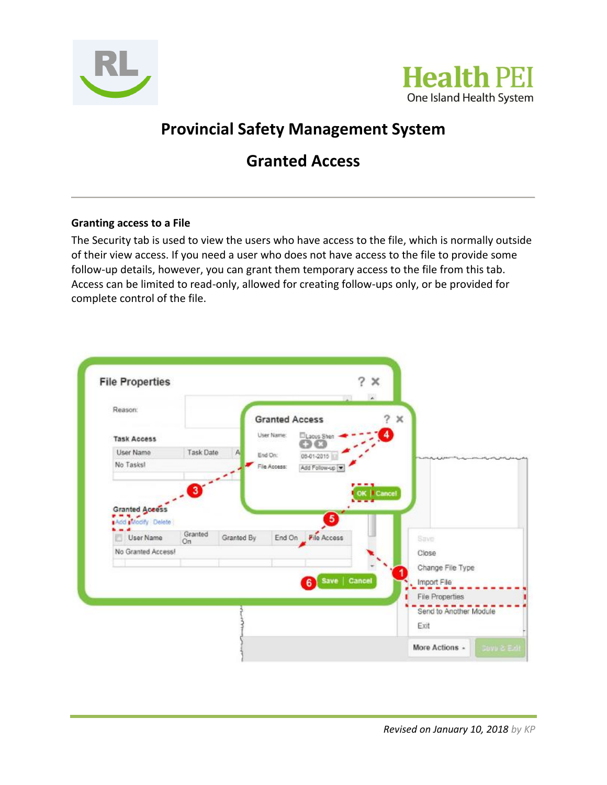



## **Provincial Safety Management System**

## **Granted Access**

## **Granting access to a File**

The Security tab is used to view the users who have access to the file, which is normally outside of their view access. If you need a user who does not have access to the file to provide some follow-up details, however, you can grant them temporary access to the file from this tab. Access can be limited to read-only, allowed for creating follow-ups only, or be provided for complete control of the file.

| Reason:                                                 |                         |            | <b>Granted Access</b> |                           |               | 7<br>$\times$ |                        |  |
|---------------------------------------------------------|-------------------------|------------|-----------------------|---------------------------|---------------|---------------|------------------------|--|
| <b>Task Access</b>                                      |                         |            | User Name:            | <b>ELacus</b> Shen<br>ദേവ |               |               |                        |  |
| User Name                                               | <b>Task Date</b>        | Α          | End On:               | 08-01-2010                |               |               |                        |  |
| No Tasks!                                               |                         |            | File Access:          | Add Follow-up             |               |               |                        |  |
| <b>Granted Access</b><br>Add Modify Delete<br>User Name | $\mathbf{3}$<br>Granted | Granted By |                       | 6                         |               | <b>Cancel</b> | Save:                  |  |
| No Granted Access!                                      | On                      |            |                       | End On File Access        |               |               | Close                  |  |
|                                                         |                         |            |                       |                           |               |               | Change File Type       |  |
|                                                         |                         |            |                       | 6)                        | Save   Cancel |               | Import File            |  |
|                                                         |                         |            |                       |                           |               |               | <b>File Properties</b> |  |
|                                                         |                         |            |                       |                           |               |               | Send to Another Module |  |